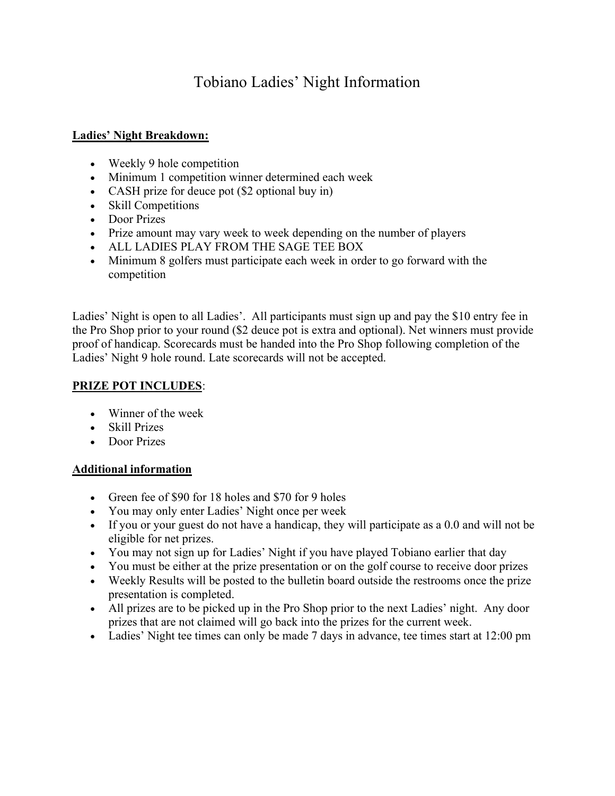# Tobiano Ladies' Night Information

### Ladies' Night Breakdown:

- Weekly 9 hole competition
- Minimum 1 competition winner determined each week
- CASH prize for deuce pot (\$2 optional buy in)
- Skill Competitions
- Door Prizes
- Prize amount may vary week to week depending on the number of players
- ALL LADIES PLAY FROM THE SAGE TEE BOX
- Minimum 8 golfers must participate each week in order to go forward with the competition

Ladies' Night is open to all Ladies'. All participants must sign up and pay the \$10 entry fee in the Pro Shop prior to your round (\$2 deuce pot is extra and optional). Net winners must provide proof of handicap. Scorecards must be handed into the Pro Shop following completion of the Ladies' Night 9 hole round. Late scorecards will not be accepted.

## PRIZE POT INCLUDES:

- Winner of the week
- Skill Prizes
- Door Prizes

#### Additional information

- Green fee of \$90 for 18 holes and \$70 for 9 holes
- You may only enter Ladies' Night once per week
- If you or your guest do not have a handicap, they will participate as a 0.0 and will not be eligible for net prizes.
- You may not sign up for Ladies' Night if you have played Tobiano earlier that day
- You must be either at the prize presentation or on the golf course to receive door prizes
- Weekly Results will be posted to the bulletin board outside the restrooms once the prize presentation is completed.
- All prizes are to be picked up in the Pro Shop prior to the next Ladies' night. Any door prizes that are not claimed will go back into the prizes for the current week.
- Ladies' Night tee times can only be made 7 days in advance, tee times start at 12:00 pm